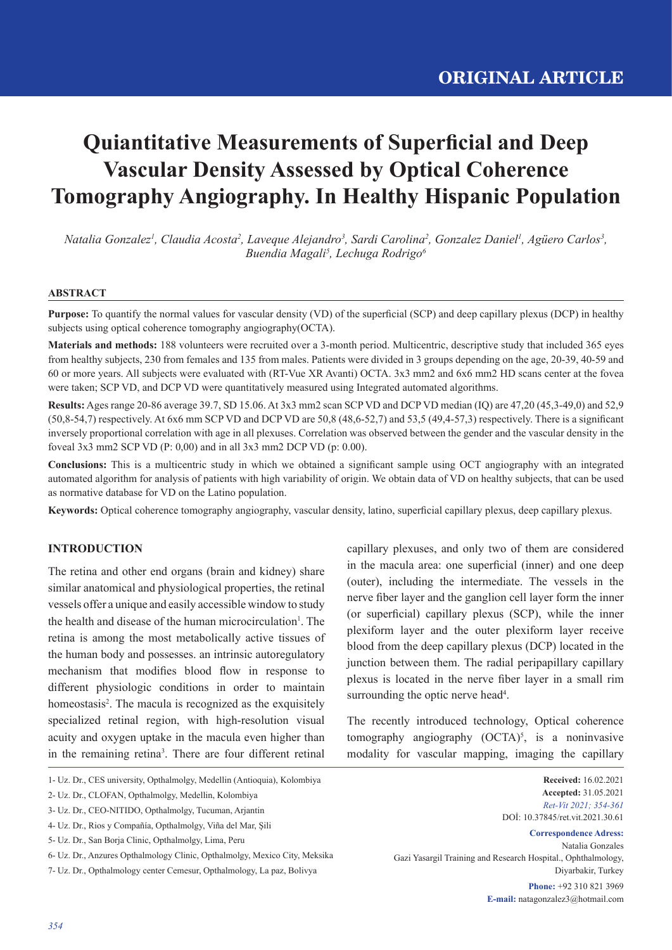# **Quiantitative Measurements of Superficial and Deep Vascular Density Assessed by Optical Coherence Tomography Angiography. In Healthy Hispanic Population**

*Natalia Gonzalez<sup>1</sup>, Claudia Acosta<sup>2</sup>, Laveque Alejandro<sup>3</sup>, Sardi Carolina<sup>2</sup>, Gonzalez Daniel<sup>1</sup>, Agüero Carlos<sup>3</sup>, Buendia Magali5 , Lechuga Rodrigo6*

## **ABSTRACT**

**Purpose:** To quantify the normal values for vascular density (VD) of the superficial (SCP) and deep capillary plexus (DCP) in healthy subjects using optical coherence tomography angiography(OCTA).

**Materials and methods:** 188 volunteers were recruited over a 3-month period. Multicentric, descriptive study that included 365 eyes from healthy subjects, 230 from females and 135 from males. Patients were divided in 3 groups depending on the age, 20-39, 40-59 and 60 or more years. All subjects were evaluated with (RT-Vue XR Avanti) OCTA. 3x3 mm2 and 6x6 mm2 HD scans center at the fovea were taken; SCP VD, and DCP VD were quantitatively measured using Integrated automated algorithms.

**Results:** Ages range 20-86 average 39.7, SD 15.06. At 3x3 mm2 scan SCP VD and DCP VD median (IQ) are 47,20 (45,3-49,0) and 52,9  $(50,8-54,7)$  respectively. At 6x6 mm SCP VD and DCP VD are 50,8  $(48,6-52,7)$  and  $53,5$   $(49,4-57,3)$  respectively. There is a significant inversely proportional correlation with age in all plexuses. Correlation was observed between the gender and the vascular density in the foveal 3x3 mm2 SCP VD (P: 0,00) and in all 3x3 mm2 DCP VD (p: 0.00).

**Conclusions:** This is a multicentric study in which we obtained a significant sample using OCT angiography with an integrated automated algorithm for analysis of patients with high variability of origin. We obtain data of VD on healthy subjects, that can be used as normative database for VD on the Latino population.

**Keywords:** Optical coherence tomography angiography, vascular density, latino, superficial capillary plexus, deep capillary plexus.

# **INTRODUCTION**

The retina and other end organs (brain and kidney) share similar anatomical and physiological properties, the retinal vessels offer a unique and easily accessible window to study the health and disease of the human microcirculation<sup>1</sup>. The retina is among the most metabolically active tissues of the human body and possesses. an intrinsic autoregulatory mechanism that modifies blood flow in response to different physiologic conditions in order to maintain homeostasis<sup>2</sup>. The macula is recognized as the exquisitely specialized retinal region, with high-resolution visual acuity and oxygen uptake in the macula even higher than in the remaining retina<sup>3</sup>. There are four different retinal

capillary plexuses, and only two of them are considered in the macula area: one superficial (inner) and one deep (outer), including the intermediate. The vessels in the nerve fiber layer and the ganglion cell layer form the inner (or superficial) capillary plexus  $(SCP)$ , while the inner plexiform layer and the outer plexiform layer receive blood from the deep capillary plexus (DCP) located in the junction between them. The radial peripapillary capillary plexus is located in the nerve fiber layer in a small rim surrounding the optic nerve head<sup>4</sup>.

The recently introduced technology, Optical coherence tomography angiography  $(OCTA)^5$ , is a noninvasive modality for vascular mapping, imaging the capillary

> **Received:** 16.02.2021 **Accepted:** 31.05.2021 *Ret-Vit 2021; 354-361* DOİ: 10.37845/ret.vit.2021.30.61

**Correspondence Adress:** Natalia Gonzales Gazi Yasargil Training and Research Hospital., Ophthalmology, Diyarbakir, Turkey

**Phone:** +92 310 821 3969 **E-mail:** natagonzalez3@hotmail.com

<sup>1-</sup> Uz. Dr., CES university, Opthalmolgy, Medellin (Antioquia), Kolombiya

<sup>2-</sup> Uz. Dr., CLOFAN, Opthalmolgy, Medellin, Kolombiya

<sup>3-</sup> Uz. Dr., CEO-NITIDO, Opthalmolgy, Tucuman, Arjantin

<sup>4-</sup> Uz. Dr., Rios y Compañía, Opthalmolgy, Viña del Mar, Şili

<sup>5-</sup> Uz. Dr., San Borja Clinic, Opthalmolgy, Lima, Peru

<sup>6-</sup> Uz. Dr., Anzures Opthalmology Clinic, Opthalmolgy, Mexico City, Meksika

<sup>7-</sup> Uz. Dr., Opthalmology center Cemesur, Opthalmology, La paz, Bolivya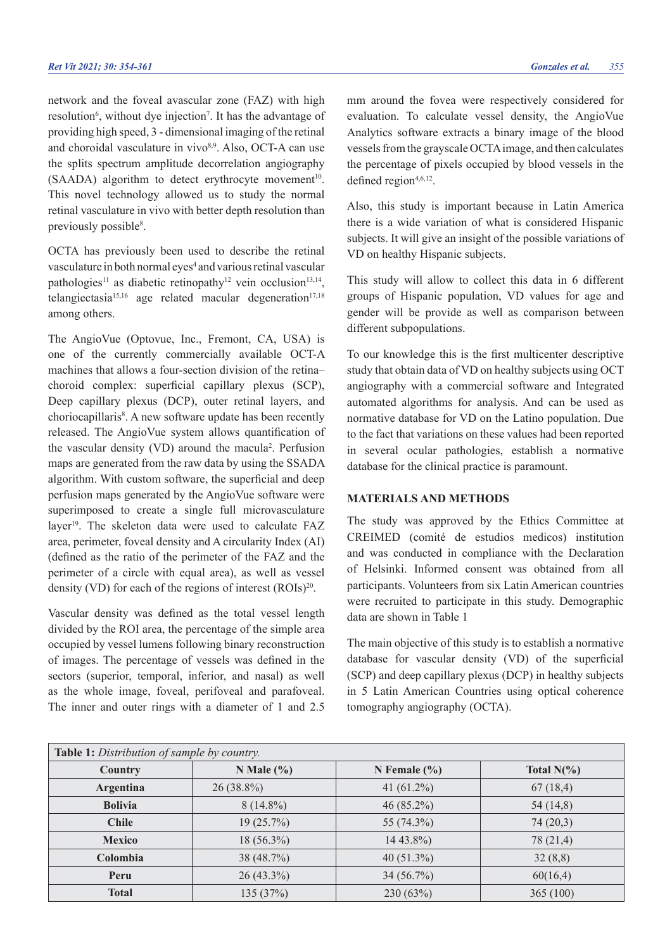network and the foveal avascular zone (FAZ) with high resolution<sup>6</sup>, without dye injection<sup>7</sup>. It has the advantage of providing high speed, 3 - dimensional imaging of the retinal and choroidal vasculature in vivo<sup>8,9</sup>. Also, OCT-A can use the splits spectrum amplitude decorrelation angiography (SAADA) algorithm to detect erythrocyte movement<sup>10</sup>. This novel technology allowed us to study the normal retinal vasculature in vivo with better depth resolution than previously possible<sup>8</sup>.

OCTA has previously been used to describe the retinal vasculature in both normal eyes<sup>4</sup> and various retinal vascular pathologies<sup>11</sup> as diabetic retinopathy<sup>12</sup> vein occlusion<sup>13,14</sup>, telangiectasia<sup>15,16</sup> age related macular degeneration<sup>17,18</sup> among others.

The AngioVue (Optovue, Inc., Fremont, CA, USA) is one of the currently commercially available OCT-A machines that allows a four-section division of the retina– choroid complex: superficial capillary plexus (SCP), Deep capillary plexus (DCP), outer retinal layers, and choriocapillaris<sup>8</sup>. A new software update has been recently released. The AngioVue system allows quantification of the vascular density (VD) around the macula<sup>2</sup>. Perfusion maps are generated from the raw data by using the SSADA algorithm. With custom software, the superficial and deep perfusion maps generated by the AngioVue software were superimposed to create a single full microvasculature layer<sup>19</sup>. The skeleton data were used to calculate FAZ area, perimeter, foveal density and A circularity Index (AI) (defined as the ratio of the perimeter of the FAZ and the perimeter of a circle with equal area), as well as vessel density (VD) for each of the regions of interest  $(ROIs)^{20}$ .

Vascular density was defined as the total vessel length divided by the ROI area, the percentage of the simple area occupied by vessel lumens following binary reconstruction of images. The percentage of vessels was defined in the sectors (superior, temporal, inferior, and nasal) as well as the whole image, foveal, perifoveal and parafoveal. The inner and outer rings with a diameter of 1 and 2.5

mm around the fovea were respectively considered for evaluation. To calculate vessel density, the AngioVue Analytics software extracts a binary image of the blood vessels from the grayscale OCTA image, and then calculates the percentage of pixels occupied by blood vessels in the defined region $4,6,12$ .

Also, this study is important because in Latin America there is a wide variation of what is considered Hispanic subjects. It will give an insight of the possible variations of VD on healthy Hispanic subjects.

This study will allow to collect this data in 6 different groups of Hispanic population, VD values for age and gender will be provide as well as comparison between different subpopulations.

To our knowledge this is the first multicenter descriptive study that obtain data of VD on healthy subjects using OCT angiography with a commercial software and Integrated automated algorithms for analysis. And can be used as normative database for VD on the Latino population. Due to the fact that variations on these values had been reported in several ocular pathologies, establish a normative database for the clinical practice is paramount.

### **MATERIALS AND METHODS**

The study was approved by the Ethics Committee at CREIMED (comité de estudios medicos) institution and was conducted in compliance with the Declaration of Helsinki. Informed consent was obtained from all participants. Volunteers from six Latin American countries were recruited to participate in this study. Demographic data are shown in Table 1

The main objective of this study is to establish a normative database for vascular density (VD) of the superficial (SCP) and deep capillary plexus (DCP) in healthy subjects in 5 Latin American Countries using optical coherence tomography angiography (OCTA).

| Table 1: Distribution of sample by country. |                |                  |                |  |
|---------------------------------------------|----------------|------------------|----------------|--|
| Country                                     | N Male $(\% )$ | N Female $(\% )$ | Total $N(\% )$ |  |
| Argentina                                   | $26(38.8\%)$   | 41 $(61.2\%)$    | 67(18,4)       |  |
| <b>Bolivia</b>                              | $8(14.8\%)$    | $46(85.2\%)$     | 54(14,8)       |  |
| <b>Chile</b>                                | 19(25.7%)      | 55 $(74.3\%)$    | 74(20,3)       |  |
| <b>Mexico</b>                               | $18(56.3\%)$   | $1443.8\%$       | 78 (21,4)      |  |
| Colombia                                    | 38(48.7%)      | 40 $(51.3\%)$    | 32(8,8)        |  |
| Peru                                        | $26(43.3\%)$   | $34(56.7\%)$     | 60(16,4)       |  |
| <b>Total</b>                                | 135(37%)       | 230(63%)         | 365(100)       |  |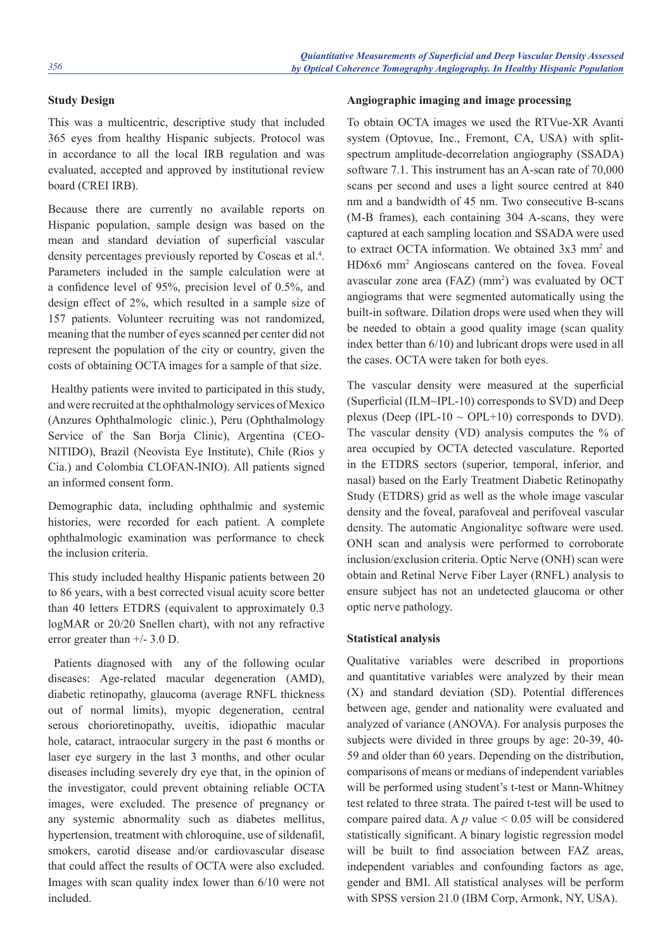# **Study Design**

This was a multicentric, descriptive study that included 365 eyes from healthy Hispanic subjects. Protocol was in accordance to all the local IRB regulation and was evaluated, accepted and approved by institutional review board (CREI IRB).

Because there are currently no available reports on Hispanic population, sample design was based on the mean and standard deviation of superficial vascular density percentages previously reported by Coscas et al.<sup>4</sup>. Parameters included in the sample calculation were at a confidence level of 95%, precision level of 0.5%, and design effect of 2%, which resulted in a sample size of 157 patients. Volunteer recruiting was not randomized, meaning that the number of eyes scanned per center did not represent the population of the city or country, given the costs of obtaining OCTA images for a sample of that size.

 Healthy patients were invited to participated in this study, and were recruited at the ophthalmology services of Mexico (Anzures Ophthalmologic clinic.), Peru (Ophthalmology Service of the San Borja Clinic), Argentina (CEO-NITIDO), Brazil (Neovista Eye Institute), Chile (Rios y Cia.) and Colombia CLOFAN-INIO). All patients signed an informed consent form.

Demographic data, including ophthalmic and systemic histories, were recorded for each patient. A complete ophthalmologic examination was performance to check the inclusion criteria.

This study included healthy Hispanic patients between 20 to 86 years, with a best corrected visual acuity score better than 40 letters ETDRS (equivalent to approximately 0.3 logMAR or 20/20 Snellen chart), with not any refractive error greater than +/- 3.0 D.

 Patients diagnosed with any of the following ocular diseases: Age-related macular degeneration (AMD), diabetic retinopathy, glaucoma (average RNFL thickness out of normal limits), myopic degeneration, central serous chorioretinopathy, uveitis, idiopathic macular hole, cataract, intraocular surgery in the past 6 months or laser eye surgery in the last 3 months, and other ocular diseases including severely dry eye that, in the opinion of the investigator, could prevent obtaining reliable OCTA images, were excluded. The presence of pregnancy or any systemic abnormality such as diabetes mellitus, hypertension, treatment with chloroquine, use of sildenafil, smokers, carotid disease and/or cardiovascular disease that could affect the results of OCTA were also excluded. Images with scan quality index lower than 6/10 were not included.

## **Angiographic imaging and image processing**

To obtain OCTA images we used the RTVue-XR Avanti system (Optovue, Inc., Fremont, CA, USA) with splitspectrum amplitude-decorrelation angiography (SSADA) software 7.1. This instrument has an A-scan rate of 70,000 scans per second and uses a light source centred at 840 nm and a bandwidth of 45 nm. Two consecutive B-scans (M-B frames), each containing 304 A-scans, they were captured at each sampling location and SSADA were used to extract OCTA information. We obtained 3x3 mm<sup>2</sup> and HD6x6 mm2 Angioscans cantered on the fovea. Foveal avascular zone area (FAZ) (mm<sup>2</sup>) was evaluated by OCT angiograms that were segmented automatically using the built-in software. Dilation drops were used when they will be needed to obtain a good quality image (scan quality index better than 6/10) and lubricant drops were used in all the cases. OCTA were taken for both eyes.

The vascular density were measured at the superficial (Superficial (ILM~IPL-10) corresponds to SVD) and Deep plexus (Deep (IPL-10  $\sim$  OPL+10) corresponds to DVD). The vascular density (VD) analysis computes the % of area occupied by OCTA detected vasculature. Reported in the ETDRS sectors (superior, temporal, inferior, and nasal) based on the Early Treatment Diabetic Retinopathy Study (ETDRS) grid as well as the whole image vascular density and the foveal, parafoveal and perifoveal vascular density. The automatic Angionalityc software were used. ONH scan and analysis were performed to corroborate inclusion/exclusion criteria. Optic Nerve (ONH) scan were obtain and Retinal Nerve Fiber Layer (RNFL) analysis to ensure subject has not an undetected glaucoma or other optic nerve pathology.

#### **Statistical analysis**

Qualitative variables were described in proportions and quantitative variables were analyzed by their mean (X) and standard deviation (SD). Potential differences between age, gender and nationality were evaluated and analyzed of variance (ANOVA). For analysis purposes the subjects were divided in three groups by age: 20-39, 40- 59 and older than 60 years. Depending on the distribution, comparisons of means or medians of independent variables will be performed using student's t-test or Mann-Whitney test related to three strata. The paired t-test will be used to compare paired data. A  $p$  value  $\leq 0.05$  will be considered statistically significant. A binary logistic regression model will be built to find association between FAZ areas, independent variables and confounding factors as age, gender and BMI. All statistical analyses will be perform with SPSS version 21.0 (IBM Corp, Armonk, NY, USA).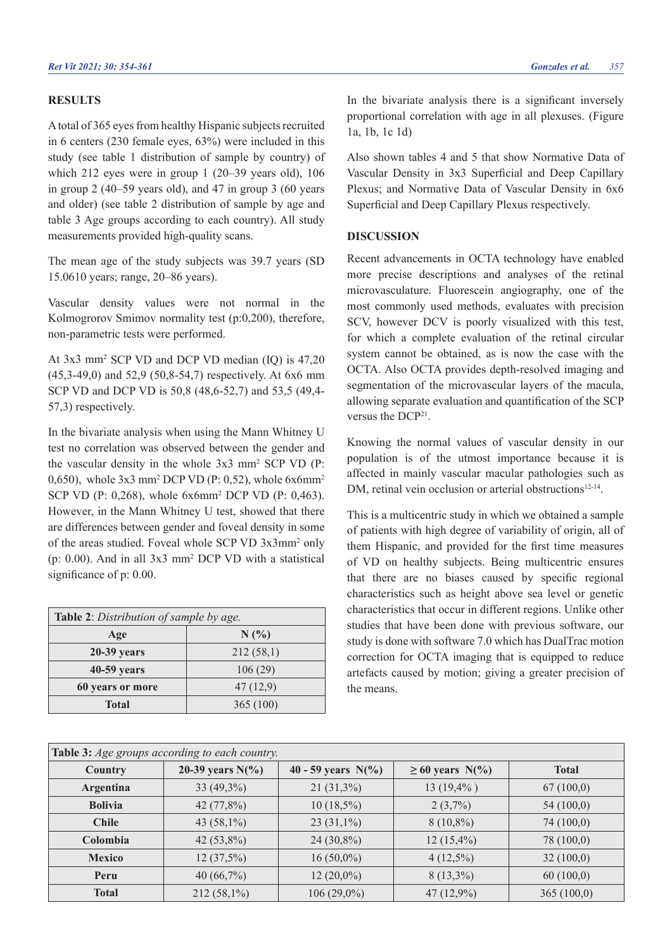## **RESULTS**

A total of 365 eyes from healthy Hispanic subjects recruited in 6 centers (230 female eyes, 63%) were included in this study (see table 1 distribution of sample by country) of which 212 eyes were in group 1 (20–39 years old), 106 in group 2 (40–59 years old), and 47 in group 3 (60 years and older) (see table 2 distribution of sample by age and table 3 Age groups according to each country). All study measurements provided high-quality scans.

The mean age of the study subjects was 39.7 years (SD 15.0610 years; range, 20–86 years).

Vascular density values were not normal in the Kolmogrorov Smimov normality test (p:0,200), therefore, non-parametric tests were performed.

At 3x3 mm2 SCP VD and DCP VD median (IQ) is 47,20 (45,3-49,0) and 52,9 (50,8-54,7) respectively. At 6x6 mm SCP VD and DCP VD is 50,8 (48,6-52,7) and 53,5 (49,4- 57,3) respectively.

In the bivariate analysis when using the Mann Whitney U test no correlation was observed between the gender and the vascular density in the whole 3x3 mm2 SCP VD (P:  $(0.650)$ , whole  $3x3$  mm<sup>2</sup> DCP VD (P: 0,52), whole  $6x6$ mm<sup>2</sup> SCP VD (P: 0,268), whole 6x6mm2 DCP VD (P: 0,463). However, in the Mann Whitney U test, showed that there are differences between gender and foveal density in some of the areas studied. Foveal whole SCP VD 3x3mm<sup>2</sup> only (p: 0.00). And in all 3x3 mm2 DCP VD with a statistical significance of  $p: 0.00$ .

| Table 2: Distribution of sample by age. |           |  |
|-----------------------------------------|-----------|--|
| Age                                     | $N(\%)$   |  |
| 20-39 years                             | 212(58,1) |  |
| 40-59 years                             | 106(29)   |  |
| 60 years or more                        | 47(12,9)  |  |
| Total                                   | 365 (100) |  |

In the bivariate analysis there is a significant inversely proportional correlation with age in all plexuses. (Figure 1a, 1b, 1c 1d)

Also shown tables 4 and 5 that show Normative Data of Vascular Density in 3x3 Superficial and Deep Capillary Plexus; and Normative Data of Vascular Density in 6x6 Superficial and Deep Capillary Plexus respectively.

#### **DISCUSSION**

Recent advancements in OCTA technology have enabled more precise descriptions and analyses of the retinal microvasculature. Fluorescein angiography, one of the most commonly used methods, evaluates with precision SCV, however DCV is poorly visualized with this test, for which a complete evaluation of the retinal circular system cannot be obtained, as is now the case with the OCTA. Also OCTA provides depth-resolved imaging and segmentation of the microvascular layers of the macula, allowing separate evaluation and quantification of the SCP versus the DCP21.

Knowing the normal values of vascular density in our population is of the utmost importance because it is affected in mainly vascular macular pathologies such as DM, retinal vein occlusion or arterial obstructions<sup>12-14</sup>.

This is a multicentric study in which we obtained a sample of patients with high degree of variability of origin, all of them Hispanic, and provided for the first time measures of VD on healthy subjects. Being multicentric ensures that there are no biases caused by specific regional characteristics such as height above sea level or genetic characteristics that occur in different regions. Unlike other studies that have been done with previous software, our study is done with software 7.0 which has DualTrac motion correction for OCTA imaging that is equipped to reduce artefacts caused by motion; giving a greater precision of the means.

| Table 3: Age groups according to each country. |                     |                       |                      |              |
|------------------------------------------------|---------------------|-----------------------|----------------------|--------------|
| <b>Country</b>                                 | 20-39 years $N(\%)$ | 40 - 59 years $N(\%)$ | $\geq 60$ years N(%) | <b>Total</b> |
| <b>Argentina</b>                               | $33(49,3\%)$        | $21(31,3\%)$          | $13(19,4\%)$         | 67(100,0)    |
| <b>Bolivia</b>                                 | 42 (77,8%)          | $10(18,5\%)$          | $2(3,7\%)$           | 54(100,0)    |
| <b>Chile</b>                                   | 43 $(58,1\%)$       | $23(31,1\%)$          | $8(10,8\%)$          | 74(100,0)    |
| Colombia                                       | 42 $(53,8\%)$       | $24(30,8\%)$          | $12(15,4\%)$         | 78 (100,0)   |
| <b>Mexico</b>                                  | 12(37,5%)           | $16(50,0\%)$          | $4(12,5\%)$          | 32(100,0)    |
| Peru                                           | 40 $(66,7\%)$       | $12(20,0\%)$          | $8(13,3\%)$          | 60(100,0)    |
| <b>Total</b>                                   | $212(58,1\%)$       | $106(29,0\%)$         | $47(12,9\%)$         | 365(100,0)   |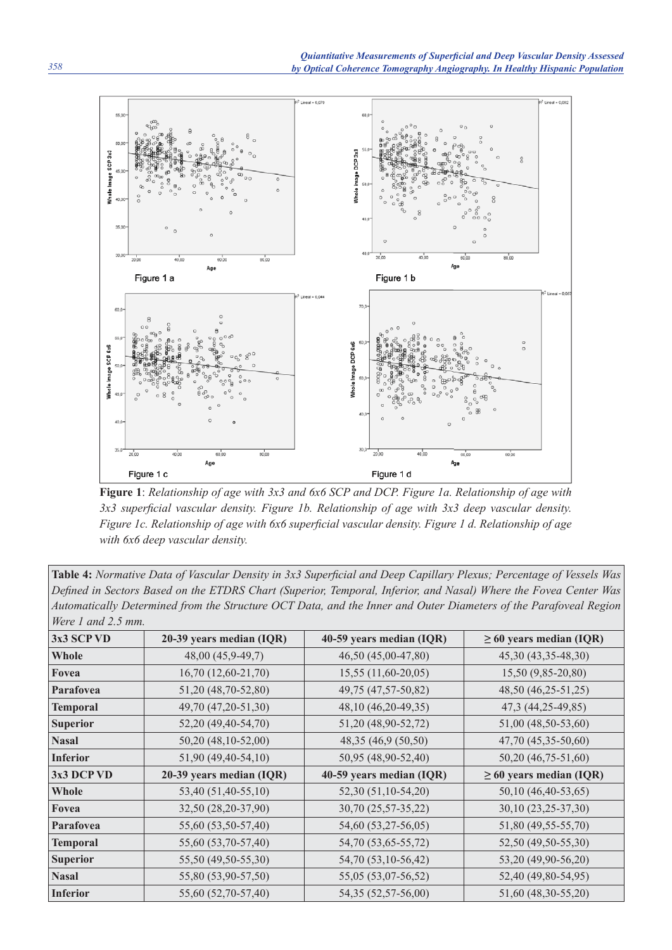

**Figure 1**: *Relationship of age with 3x3 and 6x6 SCP and DCP. Figure 1a. Relationship of age with*  3x3 superficial vascular density. Figure 1b. Relationship of age with 3x3 deep vascular density. *Figure 1c. Relationship of age with 6x6 superficial vascular density. Figure 1 d. Relationship of age with 6x6 deep vascular density.*

| Table 4: Normative Data of Vascular Density in 3x3 Superficial and Deep Capillary Plexus; Percentage of Vessels Was |
|---------------------------------------------------------------------------------------------------------------------|
| Defined in Sectors Based on the ETDRS Chart (Superior, Temporal, Inferior, and Nasal) Where the Fovea Center Was    |
| Automatically Determined from the Structure OCT Data, and the Inner and Outer Diameters of the Parafoveal Region    |
| Were 1 and $2.5$ mm.                                                                                                |

| 3x3 SCP VD      | 20-39 years median (IQR) | 40-59 years median (IQR) | $\geq 60$ years median (IQR) |
|-----------------|--------------------------|--------------------------|------------------------------|
|                 |                          |                          |                              |
| Whole           | 48,00 (45,9-49,7)        | 46,50 (45,00-47,80)      | 45,30 (43,35-48,30)          |
| Fovea           | $16,70(12,60-21,70)$     | $15,55(11,60-20,05)$     | 15,50 (9,85-20,80)           |
| Parafovea       | 51,20 (48,70-52,80)      | 49,75 (47,57-50,82)      | 48,50 (46,25-51,25)          |
| <b>Temporal</b> | 49,70 (47,20-51,30)      | 48,10 (46,20-49,35)      | 47,3 (44,25-49,85)           |
| <b>Superior</b> | 52,20 (49,40-54,70)      | 51,20 (48,90-52,72)      | 51,00 (48,50-53,60)          |
| <b>Nasal</b>    | 50,20 (48,10-52,00)      | 48,35 (46,9 (50,50)      | 47,70 (45,35-50,60)          |
| <b>Inferior</b> | 51,90 (49,40-54,10)      | 50,95 (48,90-52,40)      | 50,20 (46,75-51,60)          |
| 3x3 DCP VD      | 20-39 years median (IQR) | 40-59 years median (IQR) | $\geq 60$ years median (IQR) |
| Whole           | 53,40 (51,40-55,10)      | 52,30 (51,10-54,20)      | 50,10 (46,40-53,65)          |
| Fovea           | 32,50 (28,20-37,90)      | 30,70 (25,57-35,22)      | 30,10 (23,25-37,30)          |
| Parafovea       | 55,60 (53,50-57,40)      | 54,60 (53,27-56,05)      | 51,80 (49,55-55,70)          |
| <b>Temporal</b> | 55,60 (53,70-57,40)      | 54,70 (53,65-55,72)      | 52,50 (49,50-55,30)          |
| <b>Superior</b> | 55,50 (49,50-55,30)      | 54,70 (53,10-56,42)      | 53,20 (49,90-56,20)          |
| <b>Nasal</b>    | 55,80 (53,90-57,50)      | 55,05 (53,07-56,52)      | 52,40 (49,80-54,95)          |
| <b>Inferior</b> | 55,60 (52,70-57,40)      | 54,35 (52,57-56,00)      | 51,60 (48,30-55,20)          |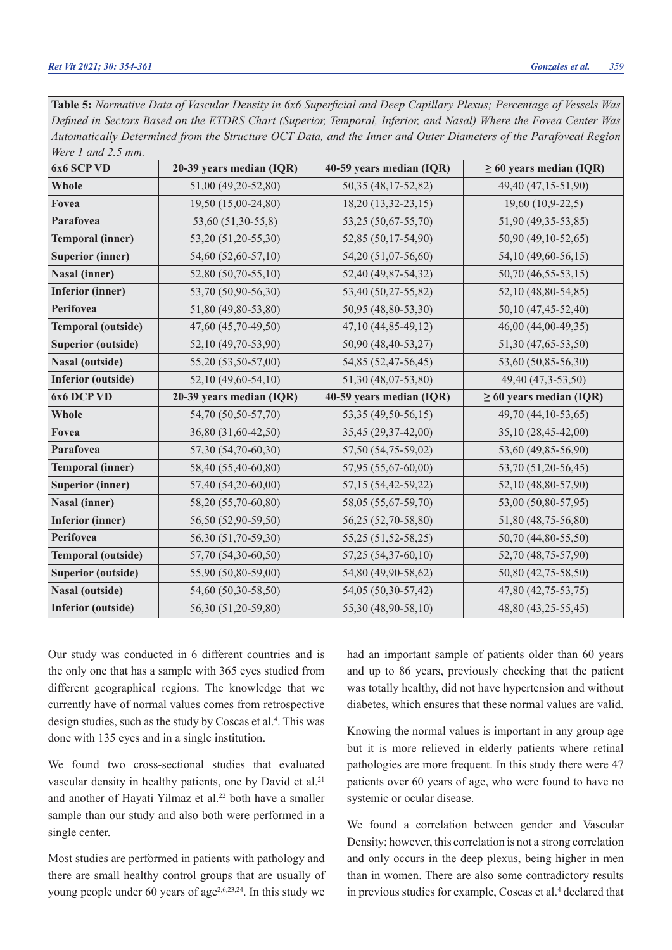| Were 1 and 2.5 mm.        |                          |                          |                              |
|---------------------------|--------------------------|--------------------------|------------------------------|
| 6x6 SCP VD                | 20-39 years median (IQR) | 40-59 years median (IQR) | $\geq$ 60 years median (IQR) |
| Whole                     | 51,00 (49,20-52,80)      | 50,35 (48,17-52,82)      | 49,40 (47,15-51,90)          |
| Fovea                     | 19,50 (15,00-24,80)      | 18,20 (13,32-23,15)      | 19,60 (10,9-22,5)            |
| Parafovea                 | 53,60 (51,30-55,8)       | 53,25 (50,67-55,70)      | 51,90 (49,35-53,85)          |
| <b>Temporal (inner)</b>   | 53,20 (51,20-55,30)      | 52,85 (50,17-54,90)      | 50,90 (49,10-52,65)          |
| <b>Superior (inner)</b>   | 54,60 (52,60-57,10)      | 54,20 (51,07-56,60)      | 54,10 (49,60-56,15)          |
| Nasal (inner)             | 52,80 (50,70-55,10)      | 52,40 (49,87-54,32)      | 50,70 (46,55-53,15)          |
| <b>Inferior (inner)</b>   | 53,70 (50,90-56,30)      | 53,40 (50,27-55,82)      | 52,10 (48,80-54,85)          |
| Perifovea                 | 51,80 (49,80-53,80)      | 50,95 (48,80-53,30)      | 50,10 (47,45-52,40)          |
| <b>Temporal (outside)</b> | 47,60 (45,70-49,50)      | 47,10 (44,85-49,12)      | 46,00 (44,00-49,35)          |
| <b>Superior (outside)</b> | 52,10 (49,70-53,90)      | 50,90 (48,40-53,27)      | 51,30 (47,65-53,50)          |
| Nasal (outside)           | 55,20 (53,50-57,00)      | 54,85 (52,47-56,45)      | 53,60 (50,85-56,30)          |
| <b>Inferior</b> (outside) | 52,10 (49,60-54,10)      | 51,30 (48,07-53,80)      | 49,40 (47,3-53,50)           |
| 6x6 DCP VD                | 20-39 years median (IQR) | 40-59 years median (IQR) | $\geq$ 60 years median (IQR) |
| Whole                     | 54,70 (50,50-57,70)      | 53,35 (49,50-56,15)      | 49,70 (44,10-53,65)          |
| Fovea                     | 36,80 (31,60-42,50)      | 35,45 (29,37-42,00)      | 35,10 (28,45-42,00)          |
| Parafovea                 | 57,30 (54,70-60,30)      | 57,50 (54,75-59,02)      | 53,60 (49,85-56,90)          |
| <b>Temporal (inner)</b>   | 58,40 (55,40-60,80)      | 57,95 (55,67-60,00)      | 53,70 (51,20-56,45)          |
| <b>Superior (inner)</b>   | 57,40 (54,20-60,00)      | 57,15 (54,42-59,22)      | 52,10 (48,80-57,90)          |
| <b>Nasal (inner)</b>      | 58,20 (55,70-60,80)      | 58,05 (55,67-59,70)      | 53,00 (50,80-57,95)          |
| <b>Inferior</b> (inner)   | 56,50 (52,90-59,50)      | 56,25 (52,70-58,80)      | 51,80 (48,75-56,80)          |
| Perifovea                 | 56,30 (51,70-59,30)      | 55,25 (51,52-58,25)      | 50,70 (44,80-55,50)          |
| <b>Temporal (outside)</b> | 57,70 (54,30-60,50)      | 57,25 (54,37-60,10)      | 52,70 (48,75-57,90)          |
| <b>Superior (outside)</b> | 55,90 (50,80-59,00)      | 54,80 (49,90-58,62)      | 50,80 (42,75-58,50)          |
| <b>Nasal (outside)</b>    | 54,60 (50,30-58,50)      | 54,05 (50,30-57,42)      | 47,80 (42,75-53,75)          |
| <b>Inferior</b> (outside) | 56,30 (51,20-59,80)      | 55,30 (48,90-58,10)      | 48,80 (43,25-55,45)          |

Table 5: *Normative Data of Vascular Density in 6x6 Superficial and Deep Capillary Plexus; Percentage of Vessels Was Defi ned in Sectors Based on the ETDRS Chart (Superior, Temporal, Inferior, and Nasal) Where the Fovea Center Was Automatically Determined from the Structure OCT Data, and the Inner and Outer Diameters of the Parafoveal Region* 

Our study was conducted in 6 different countries and is the only one that has a sample with 365 eyes studied from different geographical regions. The knowledge that we currently have of normal values comes from retrospective design studies, such as the study by Coscas et al.<sup>4</sup>. This was done with 135 eyes and in a single institution.

We found two cross-sectional studies that evaluated vascular density in healthy patients, one by David et al.<sup>21</sup> and another of Hayati Yilmaz et al.22 both have a smaller sample than our study and also both were performed in a single center.

Most studies are performed in patients with pathology and there are small healthy control groups that are usually of young people under 60 years of age<sup>2,6,23,24</sup>. In this study we

had an important sample of patients older than 60 years and up to 86 years, previously checking that the patient was totally healthy, did not have hypertension and without diabetes, which ensures that these normal values are valid.

Knowing the normal values is important in any group age but it is more relieved in elderly patients where retinal pathologies are more frequent. In this study there were 47 patients over 60 years of age, who were found to have no systemic or ocular disease.

We found a correlation between gender and Vascular Density; however, this correlation is not a strong correlation and only occurs in the deep plexus, being higher in men than in women. There are also some contradictory results in previous studies for example, Coscas et al.<sup>4</sup> declared that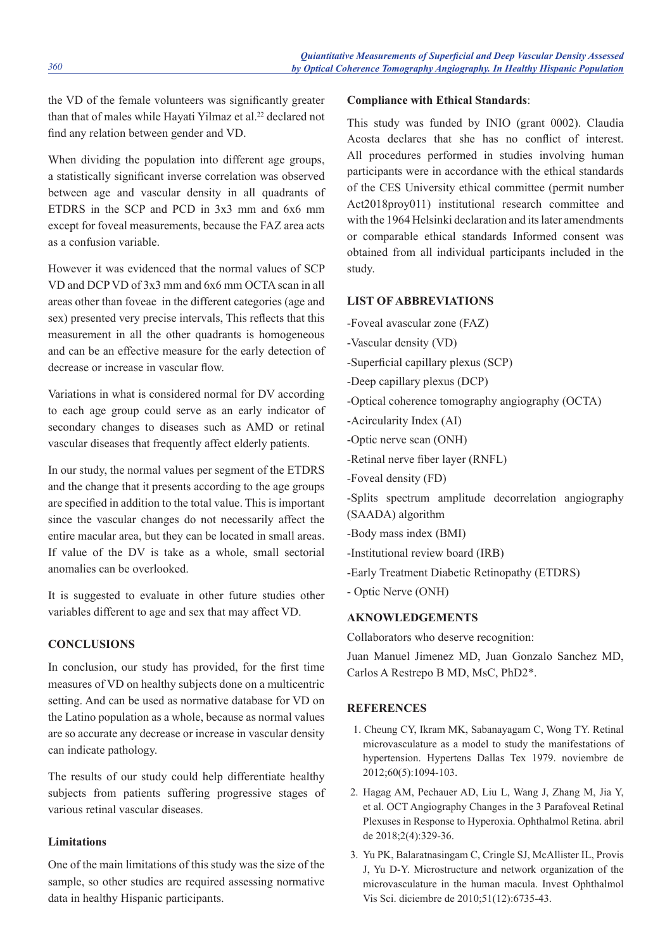the VD of the female volunteers was significantly greater than that of males while Hayati Yilmaz et al.<sup>22</sup> declared not find any relation between gender and VD.

When dividing the population into different age groups, a statistically significant inverse correlation was observed between age and vascular density in all quadrants of ETDRS in the SCP and PCD in 3x3 mm and 6x6 mm except for foveal measurements, because the FAZ area acts as a confusion variable.

However it was evidenced that the normal values of SCP VD and DCP VD of 3x3 mm and 6x6 mm OCTA scan in all areas other than foveae in the different categories (age and sex) presented very precise intervals. This reflects that this measurement in all the other quadrants is homogeneous and can be an effective measure for the early detection of decrease or increase in vascular flow.

Variations in what is considered normal for DV according to each age group could serve as an early indicator of secondary changes to diseases such as AMD or retinal vascular diseases that frequently affect elderly patients.

In our study, the normal values per segment of the ETDRS and the change that it presents according to the age groups are specified in addition to the total value. This is important since the vascular changes do not necessarily affect the entire macular area, but they can be located in small areas. If value of the DV is take as a whole, small sectorial anomalies can be overlooked.

It is suggested to evaluate in other future studies other variables different to age and sex that may affect VD.

# **CONCLUSIONS**

In conclusion, our study has provided, for the first time measures of VD on healthy subjects done on a multicentric setting. And can be used as normative database for VD on the Latino population as a whole, because as normal values are so accurate any decrease or increase in vascular density can indicate pathology.

The results of our study could help differentiate healthy subjects from patients suffering progressive stages of various retinal vascular diseases.

# **Limitations**

One of the main limitations of this study was the size of the sample, so other studies are required assessing normative data in healthy Hispanic participants.

# **Compliance with Ethical Standards**:

This study was funded by INIO (grant 0002). Claudia Acosta declares that she has no conflict of interest. All procedures performed in studies involving human participants were in accordance with the ethical standards of the CES University ethical committee (permit number Act2018proy011) institutional research committee and with the 1964 Helsinki declaration and its later amendments or comparable ethical standards Informed consent was obtained from all individual participants included in the study.

# **LIST OF ABBREVIATIONS**

- -Foveal avascular zone (FAZ)
- -Vascular density (VD)
- -Superficial capillary plexus (SCP)
- -Deep capillary plexus (DCP)
- -Optical coherence tomography angiography (OCTA)
- -Acircularity Index (AI)
- -Optic nerve scan (ONH)
- -Retinal nerve fiber layer (RNFL)
- -Foveal density (FD)

-Splits spectrum amplitude decorrelation angiography

- (SAADA) algorithm
- -Body mass index (BMI)
- -Institutional review board (IRB)
- -Early Treatment Diabetic Retinopathy (ETDRS)
- Optic Nerve (ONH)

# **AKNOWLEDGEMENTS**

Collaborators who deserve recognition:

Juan Manuel Jimenez MD, Juan Gonzalo Sanchez MD, Carlos A Restrepo B MD, MsC, PhD2\*.

## **REFERENCES**

- 1. Cheung CY, Ikram MK, Sabanayagam C, Wong TY. Retinal microvasculature as a model to study the manifestations of hypertension. Hypertens Dallas Tex 1979. noviembre de 2012;60(5):1094-103.
- 2. Hagag AM, Pechauer AD, Liu L, Wang J, Zhang M, Jia Y, et al. OCT Angiography Changes in the 3 Parafoveal Retinal Plexuses in Response to Hyperoxia. Ophthalmol Retina. abril de 2018;2(4):329-36.
- 3. Yu PK, Balaratnasingam C, Cringle SJ, McAllister IL, Provis J, Yu D-Y. Microstructure and network organization of the microvasculature in the human macula. Invest Ophthalmol Vis Sci. diciembre de 2010;51(12):6735-43.